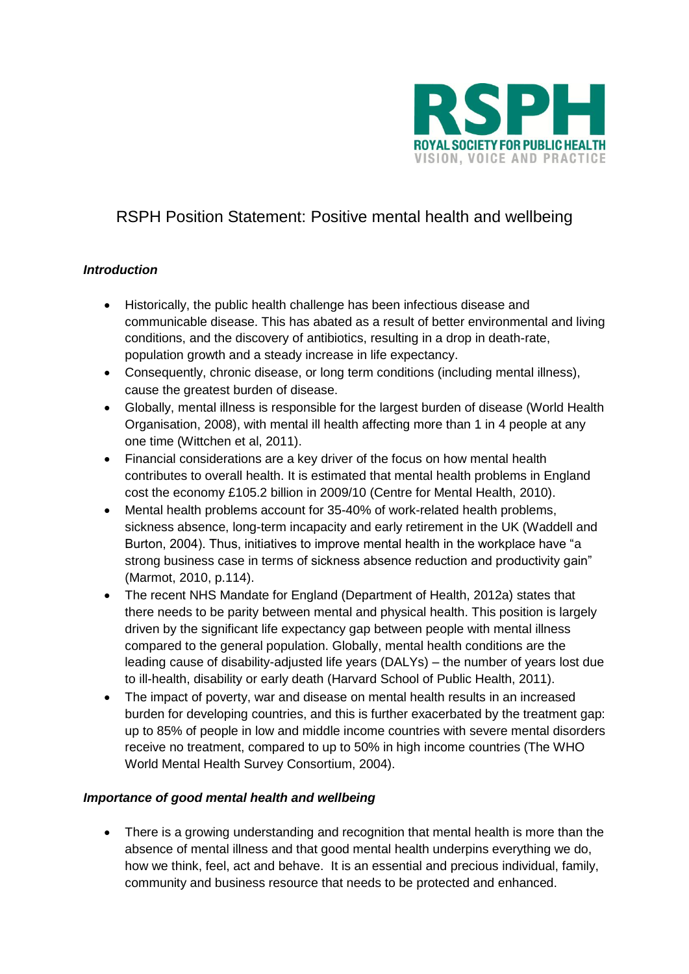

# RSPH Position Statement: Positive mental health and wellbeing

## *Introduction*

- Historically, the public health challenge has been infectious disease and communicable disease. This has abated as a result of better environmental and living conditions, and the discovery of antibiotics, resulting in a drop in death-rate, population growth and a steady increase in life expectancy.
- Consequently, chronic disease, or long term conditions (including mental illness), cause the greatest burden of disease.
- Globally, mental illness is responsible for the largest burden of disease (World Health Organisation, 2008), with mental ill health affecting more than 1 in 4 people at any one time (Wittchen et al, 2011).
- Financial considerations are a key driver of the focus on how mental health contributes to overall health. It is estimated that mental health problems in England cost the economy £105.2 billion in 2009/10 (Centre for Mental Health, 2010).
- Mental health problems account for 35-40% of work-related health problems, sickness absence, long-term incapacity and early retirement in the UK (Waddell and Burton, 2004). Thus, initiatives to improve mental health in the workplace have "a strong business case in terms of sickness absence reduction and productivity gain" (Marmot, 2010, p.114).
- The recent NHS Mandate for England (Department of Health, 2012a) states that there needs to be parity between mental and physical health. This position is largely driven by the significant life expectancy gap between people with mental illness compared to the general population. Globally, mental health conditions are the leading cause of disability-adjusted life years (DALYs) – the number of years lost due to ill-health, disability or early death (Harvard School of Public Health, 2011).
- The impact of poverty, war and disease on mental health results in an increased burden for developing countries, and this is further exacerbated by the treatment gap: up to 85% of people in low and middle income countries with severe mental disorders receive no treatment, compared to up to 50% in high income countries (The WHO World Mental Health Survey Consortium, 2004).

## *Importance of good mental health and wellbeing*

 There is a growing understanding and recognition that mental health is more than the absence of mental illness and that good mental health underpins everything we do, how we think, feel, act and behave. It is an essential and precious individual, family, community and business resource that needs to be protected and enhanced.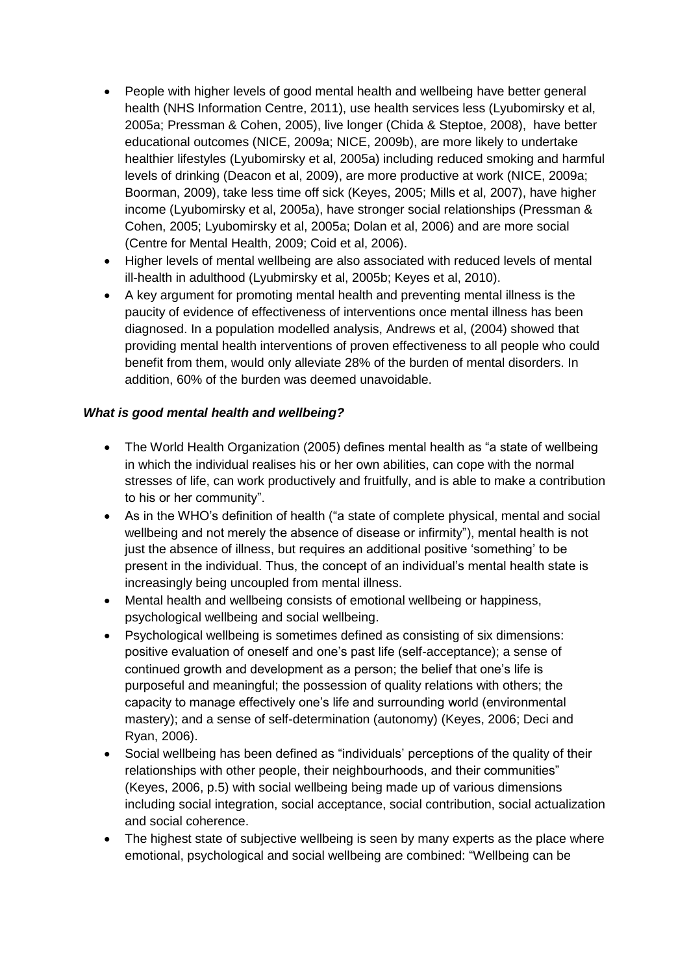- People with higher levels of good mental health and wellbeing have better general health (NHS Information Centre, 2011), use health services less (Lyubomirsky et al, 2005a; Pressman & Cohen, 2005), live longer (Chida & Steptoe, 2008), have better educational outcomes (NICE, 2009a; NICE, 2009b), are more likely to undertake healthier lifestyles (Lyubomirsky et al, 2005a) including reduced smoking and harmful levels of drinking (Deacon et al, 2009), are more productive at work (NICE, 2009a; Boorman, 2009), take less time off sick (Keyes, 2005; Mills et al, 2007), have higher income (Lyubomirsky et al, 2005a), have stronger social relationships (Pressman & Cohen, 2005; Lyubomirsky et al, 2005a; Dolan et al, 2006) and are more social (Centre for Mental Health, 2009; Coid et al, 2006).
- Higher levels of mental wellbeing are also associated with reduced levels of mental ill-health in adulthood (Lyubmirsky et al, 2005b; Keyes et al, 2010).
- A key argument for promoting mental health and preventing mental illness is the paucity of evidence of effectiveness of interventions once mental illness has been diagnosed. In a population modelled analysis, Andrews et al, (2004) showed that providing mental health interventions of proven effectiveness to all people who could benefit from them, would only alleviate 28% of the burden of mental disorders. In addition, 60% of the burden was deemed unavoidable.

## *What is good mental health and wellbeing?*

- The World Health Organization (2005) defines mental health as "a state of wellbeing in which the individual realises his or her own abilities, can cope with the normal stresses of life, can work productively and fruitfully, and is able to make a contribution to his or her community".
- As in the WHO's definition of health ("a state of complete physical, mental and social wellbeing and not merely the absence of disease or infirmity"), mental health is not just the absence of illness, but requires an additional positive 'something' to be present in the individual. Thus, the concept of an individual's mental health state is increasingly being uncoupled from mental illness.
- Mental health and wellbeing consists of emotional wellbeing or happiness, psychological wellbeing and social wellbeing.
- Psychological wellbeing is sometimes defined as consisting of six dimensions: positive evaluation of oneself and one's past life (self-acceptance); a sense of continued growth and development as a person; the belief that one's life is purposeful and meaningful; the possession of quality relations with others; the capacity to manage effectively one's life and surrounding world (environmental mastery); and a sense of self-determination (autonomy) (Keyes, 2006; Deci and Ryan, 2006).
- Social wellbeing has been defined as "individuals' perceptions of the quality of their relationships with other people, their neighbourhoods, and their communities" (Keyes, 2006, p.5) with social wellbeing being made up of various dimensions including social integration, social acceptance, social contribution, social actualization and social coherence.
- The highest state of subjective wellbeing is seen by many experts as the place where emotional, psychological and social wellbeing are combined: "Wellbeing can be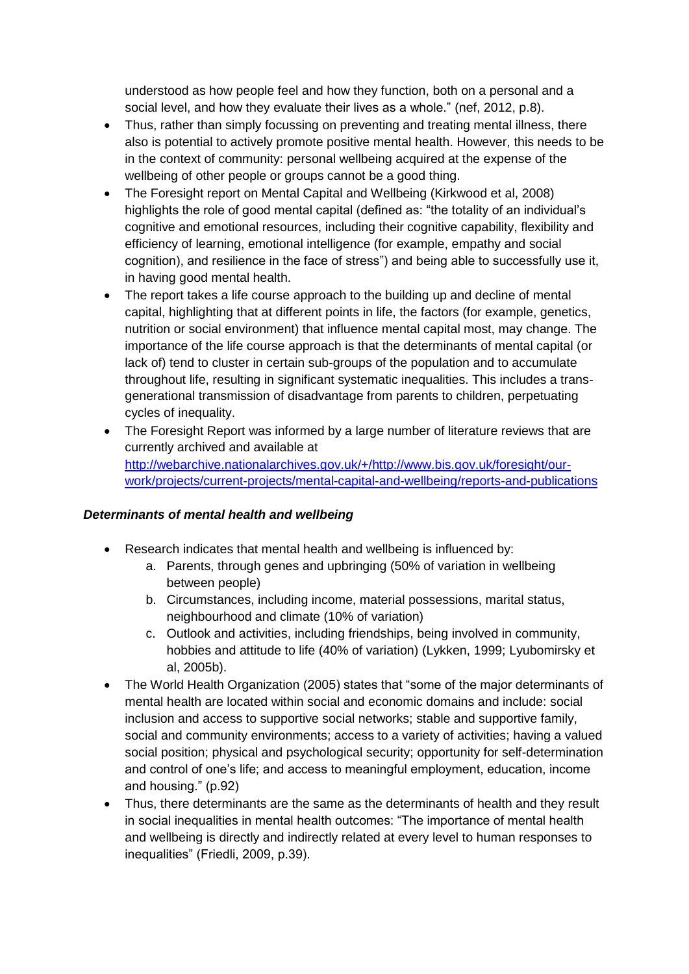understood as how people feel and how they function, both on a personal and a social level, and how they evaluate their lives as a whole." (nef, 2012, p.8).

- Thus, rather than simply focussing on preventing and treating mental illness, there also is potential to actively promote positive mental health. However, this needs to be in the context of community: personal wellbeing acquired at the expense of the wellbeing of other people or groups cannot be a good thing.
- The Foresight report on Mental Capital and Wellbeing (Kirkwood et al, 2008) highlights the role of good mental capital (defined as: "the totality of an individual's cognitive and emotional resources, including their cognitive capability, flexibility and efficiency of learning, emotional intelligence (for example, empathy and social cognition), and resilience in the face of stress") and being able to successfully use it, in having good mental health.
- The report takes a life course approach to the building up and decline of mental capital, highlighting that at different points in life, the factors (for example, genetics, nutrition or social environment) that influence mental capital most, may change. The importance of the life course approach is that the determinants of mental capital (or lack of) tend to cluster in certain sub-groups of the population and to accumulate throughout life, resulting in significant systematic inequalities. This includes a transgenerational transmission of disadvantage from parents to children, perpetuating cycles of inequality.
- The Foresight Report was informed by a large number of literature reviews that are currently archived and available at [http://webarchive.nationalarchives.gov.uk/+/http://www.bis.gov.uk/foresight/our](http://webarchive.nationalarchives.gov.uk/+/http:/www.bis.gov.uk/foresight/our-work/projects/current-projects/mental-capital-and-wellbeing/reports-and-publications)[work/projects/current-projects/mental-capital-and-wellbeing/reports-and-publications](http://webarchive.nationalarchives.gov.uk/+/http:/www.bis.gov.uk/foresight/our-work/projects/current-projects/mental-capital-and-wellbeing/reports-and-publications)

## *Determinants of mental health and wellbeing*

- Research indicates that mental health and wellbeing is influenced by:
	- a. Parents, through genes and upbringing (50% of variation in wellbeing between people)
	- b. Circumstances, including income, material possessions, marital status, neighbourhood and climate (10% of variation)
	- c. Outlook and activities, including friendships, being involved in community, hobbies and attitude to life (40% of variation) (Lykken, 1999; Lyubomirsky et al, 2005b).
- The World Health Organization (2005) states that "some of the major determinants of mental health are located within social and economic domains and include: social inclusion and access to supportive social networks; stable and supportive family, social and community environments; access to a variety of activities; having a valued social position; physical and psychological security; opportunity for self-determination and control of one's life; and access to meaningful employment, education, income and housing." (p.92)
- Thus, there determinants are the same as the determinants of health and they result in social inequalities in mental health outcomes: "The importance of mental health and wellbeing is directly and indirectly related at every level to human responses to inequalities" (Friedli, 2009, p.39).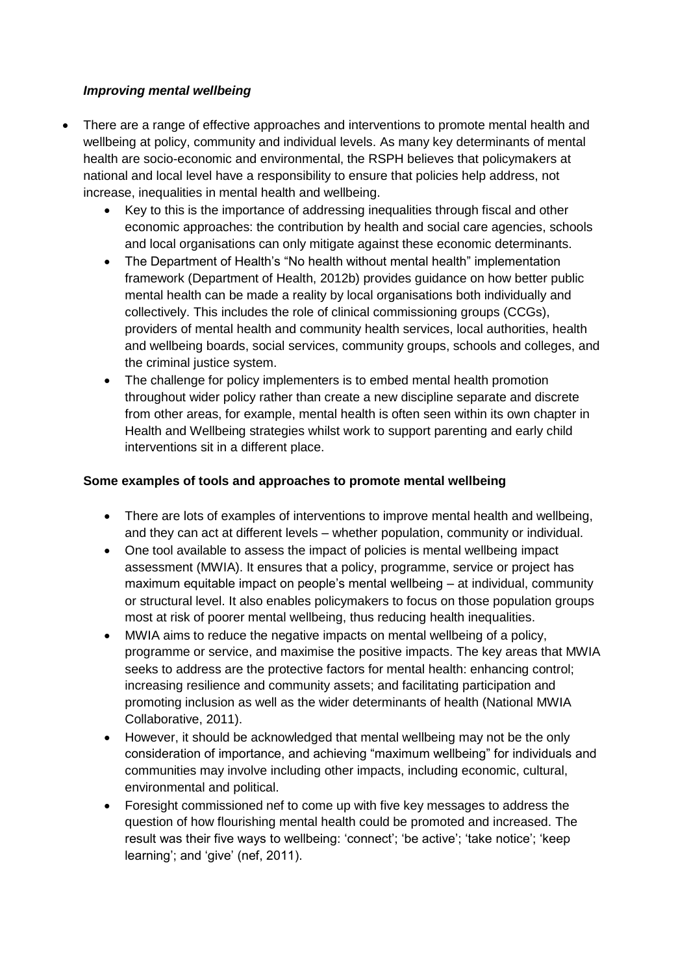#### *Improving mental wellbeing*

- There are a range of effective approaches and interventions to promote mental health and wellbeing at policy, community and individual levels. As many key determinants of mental health are socio-economic and environmental, the RSPH believes that policymakers at national and local level have a responsibility to ensure that policies help address, not increase, inequalities in mental health and wellbeing.
	- Key to this is the importance of addressing inequalities through fiscal and other economic approaches: the contribution by health and social care agencies, schools and local organisations can only mitigate against these economic determinants.
	- The Department of Health's "No health without mental health" implementation framework (Department of Health, 2012b) provides guidance on how better public mental health can be made a reality by local organisations both individually and collectively. This includes the role of clinical commissioning groups (CCGs), providers of mental health and community health services, local authorities, health and wellbeing boards, social services, community groups, schools and colleges, and the criminal justice system.
	- The challenge for policy implementers is to embed mental health promotion throughout wider policy rather than create a new discipline separate and discrete from other areas, for example, mental health is often seen within its own chapter in Health and Wellbeing strategies whilst work to support parenting and early child interventions sit in a different place.

#### **Some examples of tools and approaches to promote mental wellbeing**

- There are lots of examples of interventions to improve mental health and wellbeing, and they can act at different levels – whether population, community or individual.
- One tool available to assess the impact of policies is mental wellbeing impact assessment (MWIA). It ensures that a policy, programme, service or project has maximum equitable impact on people's mental wellbeing – at individual, community or structural level. It also enables policymakers to focus on those population groups most at risk of poorer mental wellbeing, thus reducing health inequalities.
- MWIA aims to reduce the negative impacts on mental wellbeing of a policy, programme or service, and maximise the positive impacts. The key areas that MWIA seeks to address are the protective factors for mental health: enhancing control; increasing resilience and community assets; and facilitating participation and promoting inclusion as well as the wider determinants of health (National MWIA Collaborative, 2011).
- However, it should be acknowledged that mental wellbeing may not be the only consideration of importance, and achieving "maximum wellbeing" for individuals and communities may involve including other impacts, including economic, cultural, environmental and political.
- Foresight commissioned nef to come up with five key messages to address the question of how flourishing mental health could be promoted and increased. The result was their five ways to wellbeing: 'connect'; 'be active'; 'take notice'; 'keep learning'; and 'give' (nef, 2011).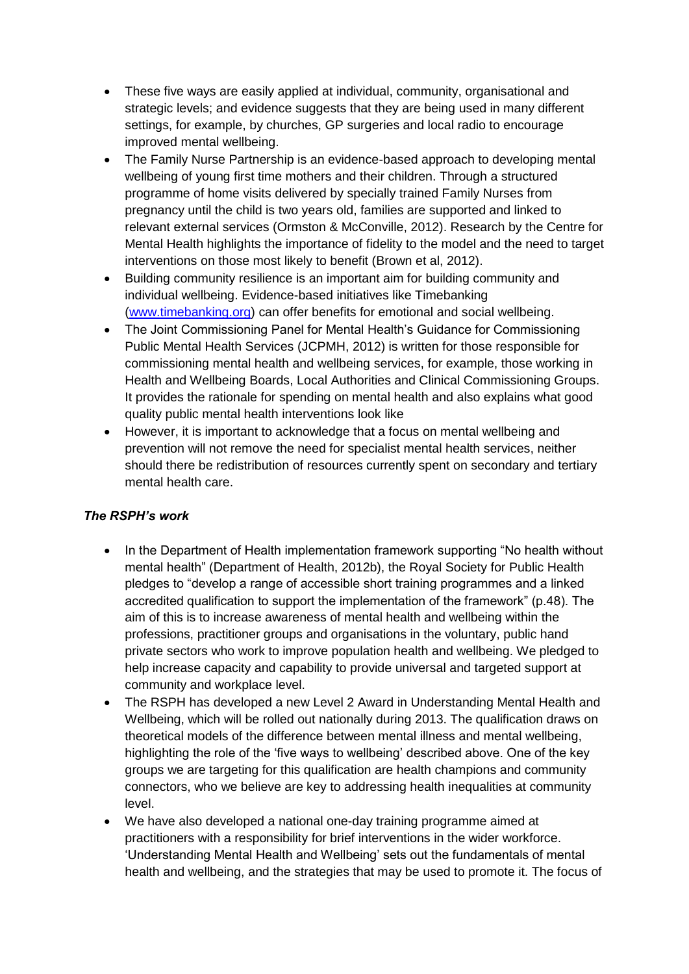- These five ways are easily applied at individual, community, organisational and strategic levels; and evidence suggests that they are being used in many different settings, for example, by churches, GP surgeries and local radio to encourage improved mental wellbeing.
- The Family Nurse Partnership is an evidence-based approach to developing mental wellbeing of young first time mothers and their children. Through a structured programme of home visits delivered by specially trained Family Nurses from pregnancy until the child is two years old, families are supported and linked to relevant external services (Ormston & McConville, 2012). Research by the Centre for Mental Health highlights the importance of fidelity to the model and the need to target interventions on those most likely to benefit (Brown et al, 2012).
- Building community resilience is an important aim for building community and individual wellbeing. Evidence-based initiatives like Timebanking [\(www.timebanking.org\)](http://www.timebanking.org/) can offer benefits for emotional and social wellbeing.
- The Joint Commissioning Panel for Mental Health's Guidance for Commissioning Public Mental Health Services (JCPMH, 2012) is written for those responsible for commissioning mental health and wellbeing services, for example, those working in Health and Wellbeing Boards, Local Authorities and Clinical Commissioning Groups. It provides the rationale for spending on mental health and also explains what good quality public mental health interventions look like
- However, it is important to acknowledge that a focus on mental wellbeing and prevention will not remove the need for specialist mental health services, neither should there be redistribution of resources currently spent on secondary and tertiary mental health care.

## *The RSPH's work*

- In the Department of Health implementation framework supporting "No health without mental health" (Department of Health, 2012b), the Royal Society for Public Health pledges to "develop a range of accessible short training programmes and a linked accredited qualification to support the implementation of the framework" (p.48). The aim of this is to increase awareness of mental health and wellbeing within the professions, practitioner groups and organisations in the voluntary, public hand private sectors who work to improve population health and wellbeing. We pledged to help increase capacity and capability to provide universal and targeted support at community and workplace level.
- The RSPH has developed a new Level 2 Award in Understanding Mental Health and Wellbeing, which will be rolled out nationally during 2013. The qualification draws on theoretical models of the difference between mental illness and mental wellbeing, highlighting the role of the 'five ways to wellbeing' described above. One of the key groups we are targeting for this qualification are health champions and community connectors, who we believe are key to addressing health inequalities at community level.
- We have also developed a national one-day training programme aimed at practitioners with a responsibility for brief interventions in the wider workforce. 'Understanding Mental Health and Wellbeing' sets out the fundamentals of mental health and wellbeing, and the strategies that may be used to promote it. The focus of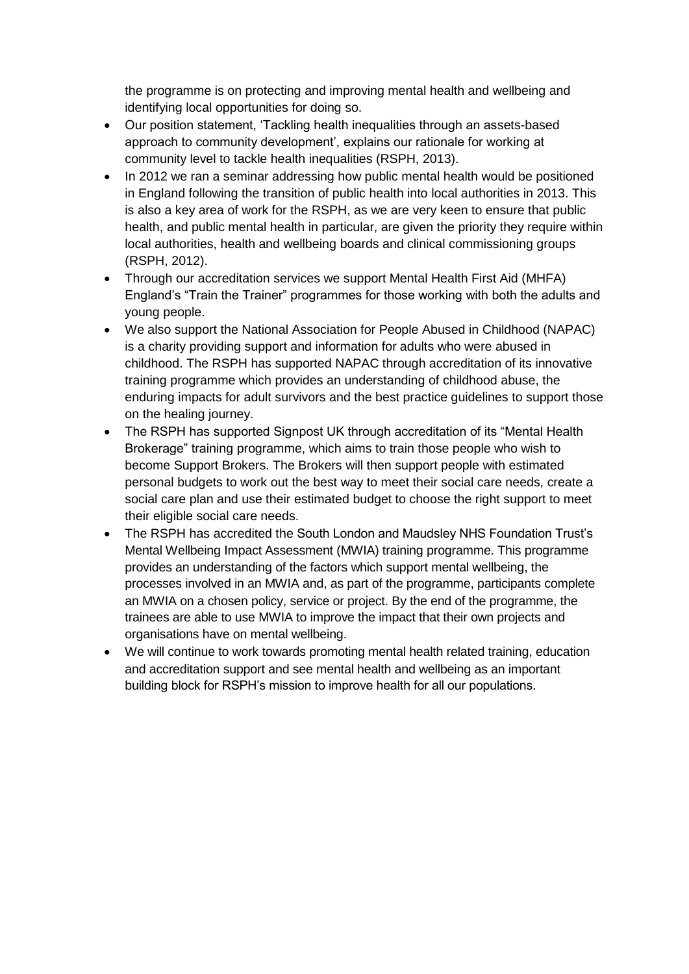the programme is on protecting and improving mental health and wellbeing and identifying local opportunities for doing so.

- Our position statement, 'Tackling health inequalities through an assets-based approach to community development', explains our rationale for working at community level to tackle health inequalities (RSPH, 2013).
- In 2012 we ran a seminar addressing how public mental health would be positioned in England following the transition of public health into local authorities in 2013. This is also a key area of work for the RSPH, as we are very keen to ensure that public health, and public mental health in particular, are given the priority they require within local authorities, health and wellbeing boards and clinical commissioning groups (RSPH, 2012).
- Through our accreditation services we support Mental Health First Aid (MHFA) England's "Train the Trainer" programmes for those working with both the adults and young people.
- We also support the National Association for People Abused in Childhood (NAPAC) is a charity providing support and information for adults who were abused in childhood. The RSPH has supported NAPAC through accreditation of its innovative training programme which provides an understanding of childhood abuse, the enduring impacts for adult survivors and the best practice guidelines to support those on the healing journey.
- The RSPH has supported Signpost UK through accreditation of its "Mental Health Brokerage" training programme, which aims to train those people who wish to become Support Brokers. The Brokers will then support people with estimated personal budgets to work out the best way to meet their social care needs, create a social care plan and use their estimated budget to choose the right support to meet their eligible social care needs.
- The RSPH has accredited the South London and Maudsley NHS Foundation Trust's Mental Wellbeing Impact Assessment (MWIA) training programme. This programme provides an understanding of the factors which support mental wellbeing, the processes involved in an MWIA and, as part of the programme, participants complete an MWIA on a chosen policy, service or project. By the end of the programme, the trainees are able to use MWIA to improve the impact that their own projects and organisations have on mental wellbeing.
- We will continue to work towards promoting mental health related training, education and accreditation support and see mental health and wellbeing as an important building block for RSPH's mission to improve health for all our populations.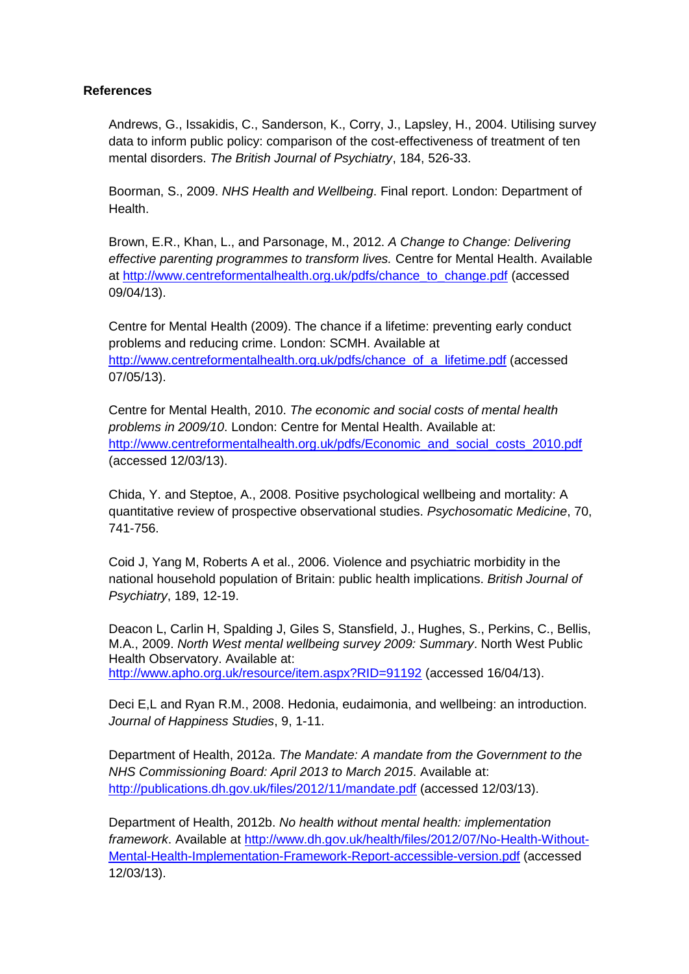#### **References**

Andrews, G., Issakidis, C., Sanderson, K., Corry, J., Lapsley, H., 2004. Utilising survey data to inform public policy: comparison of the cost-effectiveness of treatment of ten mental disorders. *The British Journal of Psychiatry*, 184, 526-33.

Boorman, S., 2009. *NHS Health and Wellbeing*. Final report. London: Department of Health.

Brown, E.R., Khan, L., and Parsonage, M., 2012. *A Change to Change: Delivering effective parenting programmes to transform lives.* Centre for Mental Health. Available at [http://www.centreformentalhealth.org.uk/pdfs/chance\\_to\\_change.pdf](http://www.centreformentalhealth.org.uk/pdfs/chance_to_change.pdf) (accessed 09/04/13).

Centre for Mental Health (2009). The chance if a lifetime: preventing early conduct problems and reducing crime. London: SCMH. Available at [http://www.centreformentalhealth.org.uk/pdfs/chance\\_of\\_a\\_lifetime.pdf](http://www.centreformentalhealth.org.uk/pdfs/chance_of_a_lifetime.pdf) (accessed 07/05/13).

Centre for Mental Health, 2010. *The economic and social costs of mental health problems in 2009/10*. London: Centre for Mental Health. Available at: [http://www.centreformentalhealth.org.uk/pdfs/Economic\\_and\\_social\\_costs\\_2010.pdf](http://www.centreformentalhealth.org.uk/pdfs/Economic_and_social_costs_2010.pdf) (accessed 12/03/13).

Chida, Y. and Steptoe, A., 2008. Positive psychological wellbeing and mortality: A quantitative review of prospective observational studies. *Psychosomatic Medicine*, 70, 741-756.

Coid J, Yang M, Roberts A et al., 2006. Violence and psychiatric morbidity in the national household population of Britain: public health implications. *British Journal of Psychiatry*, 189, 12-19.

Deacon L, Carlin H, Spalding J, Giles S, Stansfield, J., Hughes, S., Perkins, C., Bellis, M.A., 2009. *North West mental wellbeing survey 2009: Summary*. North West Public Health Observatory. Available at: <http://www.apho.org.uk/resource/item.aspx?RID=91192> (accessed 16/04/13).

Deci E,L and Ryan R.M., 2008. Hedonia, eudaimonia, and wellbeing: an introduction. *Journal of Happiness Studies*, 9, 1-11.

Department of Health, 2012a. *The Mandate: A mandate from the Government to the NHS Commissioning Board: April 2013 to March 2015*. Available at: <http://publications.dh.gov.uk/files/2012/11/mandate.pdf> (accessed 12/03/13).

Department of Health, 2012b. *No health without mental health: implementation framework*. Available at [http://www.dh.gov.uk/health/files/2012/07/No-Health-Without-](http://www.dh.gov.uk/health/files/2012/07/No-Health-Without-Mental-Health-Implementation-Framework-Report-accessible-version.pdf)[Mental-Health-Implementation-Framework-Report-accessible-version.pdf](http://www.dh.gov.uk/health/files/2012/07/No-Health-Without-Mental-Health-Implementation-Framework-Report-accessible-version.pdf) (accessed 12/03/13).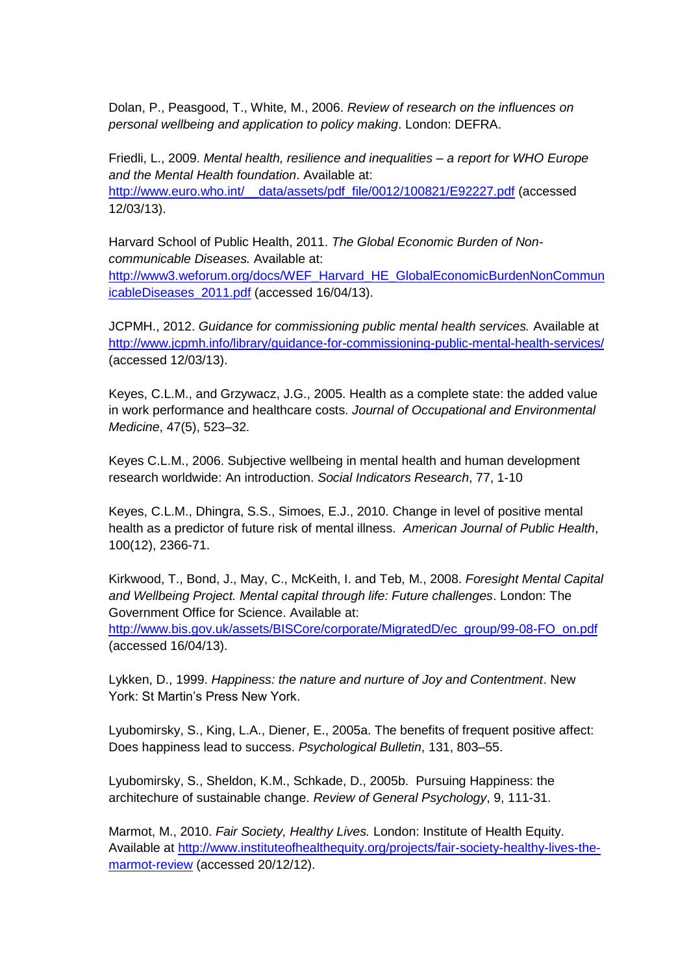Dolan, P., Peasgood, T., White, M., 2006. *Review of research on the influences on personal wellbeing and application to policy making*. London: DEFRA.

Friedli, L., 2009. *Mental health, resilience and inequalities – a report for WHO Europe and the Mental Health foundation*. Available at: [http://www.euro.who.int/\\_\\_data/assets/pdf\\_file/0012/100821/E92227.pdf](http://www.euro.who.int/__data/assets/pdf_file/0012/100821/E92227.pdf) (accessed 12/03/13).

Harvard School of Public Health, 2011. *The Global Economic Burden of Noncommunicable Diseases.* Available at: [http://www3.weforum.org/docs/WEF\\_Harvard\\_HE\\_GlobalEconomicBurdenNonCommun](http://www3.weforum.org/docs/WEF_Harvard_HE_GlobalEconomicBurdenNonCommunicableDiseases_2011.pdf)

[icableDiseases\\_2011.pdf](http://www3.weforum.org/docs/WEF_Harvard_HE_GlobalEconomicBurdenNonCommunicableDiseases_2011.pdf) (accessed 16/04/13).

JCPMH., 2012. *Guidance for commissioning public mental health services.* Available at <http://www.jcpmh.info/library/guidance-for-commissioning-public-mental-health-services/> (accessed 12/03/13).

Keyes, C.L.M., and Grzywacz, J.G., 2005. Health as a complete state: the added value in work performance and healthcare costs. *Journal of Occupational and Environmental Medicine*, 47(5), 523–32.

Keyes C.L.M., 2006. Subjective wellbeing in mental health and human development research worldwide: An introduction. *Social Indicators Research*, 77, 1-10

Keyes, C.L.M., Dhingra, S.S., Simoes, E.J., 2010. Change in level of positive mental health as a predictor of future risk of mental illness. *American Journal of Public Health*, 100(12), 2366-71.

Kirkwood, T., Bond, J., May, C., McKeith, I. and Teb, M., 2008. *Foresight Mental Capital and Wellbeing Project. Mental capital through life: Future challenges*. London: The Government Office for Science. Available at:

[http://www.bis.gov.uk/assets/BISCore/corporate/MigratedD/ec\\_group/99-08-FO\\_on.pdf](http://www.bis.gov.uk/assets/BISCore/corporate/MigratedD/ec_group/99-08-FO_on.pdf) (accessed 16/04/13).

Lykken, D., 1999. *Happiness: the nature and nurture of Joy and Contentment*. New York: St Martin's Press New York.

Lyubomirsky, S., King, L.A., Diener, E., 2005a. The benefits of frequent positive affect: Does happiness lead to success. *Psychological Bulletin*, 131, 803–55.

Lyubomirsky, S., Sheldon, K.M., Schkade, D., 2005b. Pursuing Happiness: the architechure of sustainable change. *Review of General Psychology*, 9, 111-31.

Marmot, M., 2010. *Fair Society, Healthy Lives.* London: Institute of Health Equity. Available at [http://www.instituteofhealthequity.org/projects/fair-society-healthy-lives-the](http://www.instituteofhealthequity.org/projects/fair-society-healthy-lives-the-marmot-review)[marmot-review](http://www.instituteofhealthequity.org/projects/fair-society-healthy-lives-the-marmot-review) (accessed 20/12/12).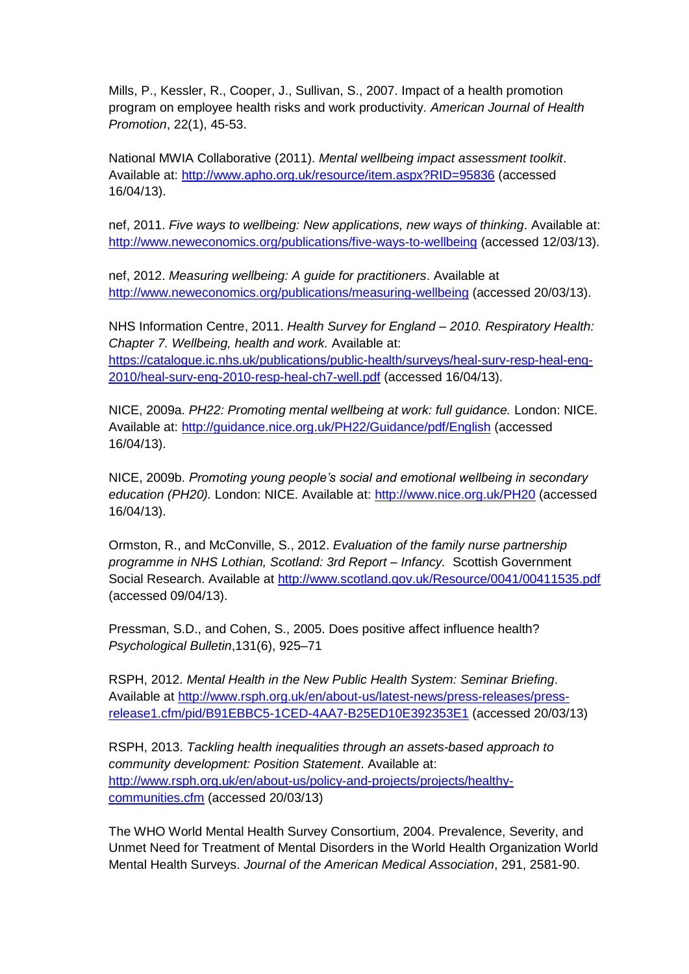Mills, P., Kessler, R., Cooper, J., Sullivan, S., 2007. Impact of a health promotion program on employee health risks and work productivity. *American Journal of Health Promotion*, 22(1), 45-53.

National MWIA Collaborative (2011). *Mental wellbeing impact assessment toolkit*. Available at:<http://www.apho.org.uk/resource/item.aspx?RID=95836> (accessed 16/04/13).

nef, 2011. *Five ways to wellbeing: New applications, new ways of thinking*. Available at: <http://www.neweconomics.org/publications/five-ways-to-wellbeing> (accessed 12/03/13).

nef, 2012. *Measuring wellbeing: A guide for practitioners*. Available at [http://www.neweconomics.org/publications/measuring-wellbeing](http://www.neweconomics.org/publications/measuring-well-being) (accessed 20/03/13).

NHS Information Centre, 2011. *Health Survey for England – 2010. Respiratory Health: Chapter 7. Wellbeing, health and work.* Available at: [https://catalogue.ic.nhs.uk/publications/public-health/surveys/heal-surv-resp-heal-eng-](https://catalogue.ic.nhs.uk/publications/public-health/surveys/heal-surv-resp-heal-eng-2010/heal-surv-eng-2010-resp-heal-ch7-well.pdf)[2010/heal-surv-eng-2010-resp-heal-ch7-well.pdf](https://catalogue.ic.nhs.uk/publications/public-health/surveys/heal-surv-resp-heal-eng-2010/heal-surv-eng-2010-resp-heal-ch7-well.pdf) (accessed 16/04/13).

NICE, 2009a. *PH22: Promoting mental wellbeing at work: full guidance.* London: NICE. Available at:<http://guidance.nice.org.uk/PH22/Guidance/pdf/English> (accessed 16/04/13).

NICE, 2009b. *Promoting young people's social and emotional wellbeing in secondary education (PH20).* London: NICE. Available at:<http://www.nice.org.uk/PH20> (accessed 16/04/13).

Ormston, R., and McConville, S., 2012. *Evaluation of the family nurse partnership programme in NHS Lothian, Scotland: 3rd Report – Infancy.* Scottish Government Social Research. Available at<http://www.scotland.gov.uk/Resource/0041/00411535.pdf> (accessed 09/04/13).

Pressman, S.D., and Cohen, S., 2005. Does positive affect influence health? *Psychological Bulletin*,131(6), 925–71

RSPH, 2012. *Mental Health in the New Public Health System: Seminar Briefing*. Available at [http://www.rsph.org.uk/en/about-us/latest-news/press-releases/press](http://www.rsph.org.uk/en/about-us/latest-news/press-releases/press-release1.cfm/pid/B91EBBC5-1CED-4AA7-B25ED10E392353E1)[release1.cfm/pid/B91EBBC5-1CED-4AA7-B25ED10E392353E1](http://www.rsph.org.uk/en/about-us/latest-news/press-releases/press-release1.cfm/pid/B91EBBC5-1CED-4AA7-B25ED10E392353E1) (accessed 20/03/13)

RSPH, 2013. *Tackling health inequalities through an assets-based approach to community development: Position Statement*. Available at: [http://www.rsph.org.uk/en/about-us/policy-and-projects/projects/healthy](http://www.rsph.org.uk/en/about-us/policy-and-projects/projects/healthy-communities.cfm)[communities.cfm](http://www.rsph.org.uk/en/about-us/policy-and-projects/projects/healthy-communities.cfm) (accessed 20/03/13)

The WHO World Mental Health Survey Consortium, 2004. Prevalence, Severity, and Unmet Need for Treatment of Mental Disorders in the World Health Organization World Mental Health Surveys. *Journal of the American Medical Association*, 291, 2581-90.